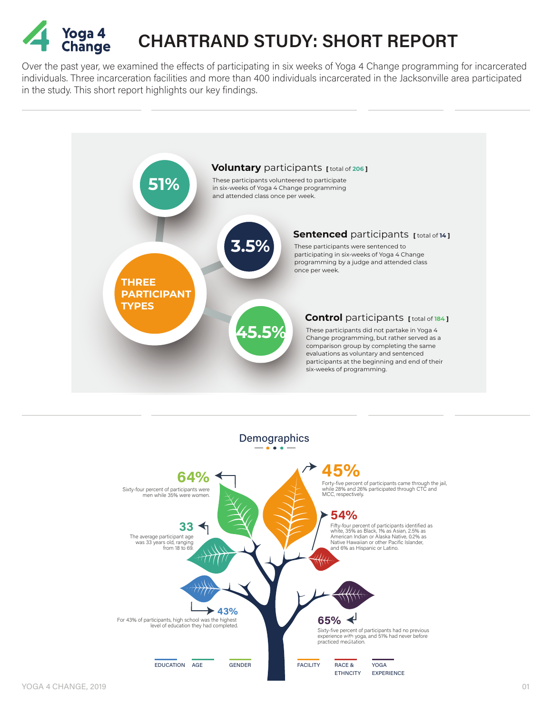

## **CHARTRAND STUDY: SHORT REPORT**

Over the past year, we examined the effects of participating in six weeks of Yoga 4 Change programming for incarcerated individuals. Three incarceration facilities and more than 400 individuals incarcerated in the Jacksonville area participated in the study. This short report highlights our key findings.